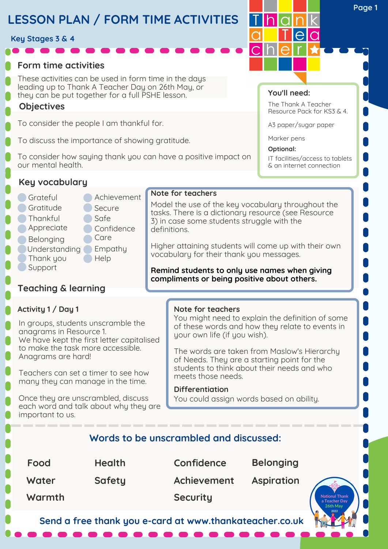# **LESSON PLAN / FORM TIME ACTIVITIES**

#### **Key Stages 3 & 4**

**Form time activities**

These activities can be used in form time in the days leading up to Thank A Teacher Day on 26th May, or they can be put together for a full PSHE lesson.

## **Objectives**

To consider the people I am thankful for.

To discuss the importance of showing gratitude.

To consider how saying thank you can have a positive impact on our mental health.

**Key vocabulary**

- Grateful **Gratitude**
- **Thankful Appreciate**
- 
- **Belonging**
- -
- Thank you
	-

#### Safe Confidence<sup>1</sup> **Care**

Secure

**Achievement** 

- Understanding Empathy
	- **Help**
- **Support**

# **Teaching & learning**

# **Activity 1 / Day 1**

In groups, students unscramble the anagrams in Resource 1. We have kept the first letter capitalised to make the task more accessible. Anagrams are hard!

Teachers can set a timer to see how many they can manage in the time.

Once they are unscrambled, discuss each word and talk about why they are important to us.

**Note for teachers**

Model the use of the key vocabulary throughout the tasks. There is a dictionary resource (see Resource 3) in case some students struggle with the definitions.

Higher attaining students will come up with their own vocabulary for their thank you messages.

**Remind students to only use names when giving compliments or being positive about others.**

#### **Note for teachers**

You might need to explain the definition of some of these words and how they relate to events in your own life (if you wish).

The words are taken from Maslow's Hierarchy of Needs. They are a starting point for the students to think about their needs and who meets those needs.

#### **Differentiation**

You could assign words based on ability.

# **Words to be unscrambled and discussed:**

| Food   | <b>Health</b> | Confidence      | <b>Belonging</b>  |
|--------|---------------|-----------------|-------------------|
| Water  | <b>Safety</b> | Achievement     | <b>Aspiration</b> |
| Warmth |               | <b>Security</b> |                   |

**Send a free thank you e-card at www.thankateacher.co.uk**

 $\bullet$   $\bullet$ 

#### **You'll need:**

Than

The Thank A Teacher Resource Pack for KS3 & 4.

A3 paper/sugar paper

Marker pens

# **Optional:**

IT facilities/access to tablets & an internet connection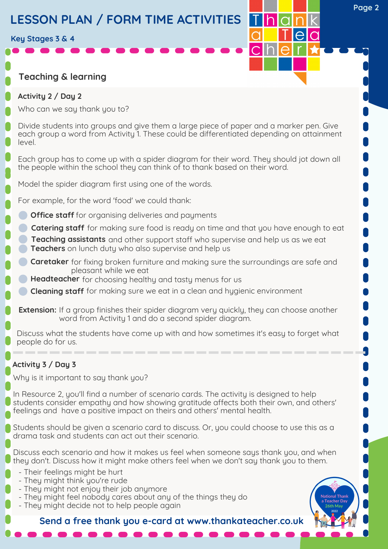# **LESSON PLAN / FORM TIME ACTIVITIES**

**Key Stages 3 & 4**

# **Teaching & learning**

## **Activity 2 / Day 2**

Who can we say thank you to?

Divide students into groups and give them a large piece of paper and a marker pen. Give each group a word from Activity 1. These could be differentiated depending on attainment level.

**Page 2**

Each group has to come up with a spider diagram for their word. They should jot down all the people within the school they can think of to thank based on their word.

Model the spider diagram first using one of the words.

For example, for the word 'food' we could thank:

- **Office staff** for organising deliveries and payments
- **Catering staff** for making sure food is ready on time and that you have enough to eat
- **Teaching assistants** and other support staff who supervise and help us as we eat **Teachers** on lunch duty who also supervise and help us
- **Caretaker** for fixing broken furniture and making sure the surroundings are safe and pleasant while we eat
- **Headteacher** for choosing healthy and tasty menus for us
- **Cleaning staff** for making sure we eat in a clean and hygienic environment
- **Extension:** If a group finishes their spider diagram very quickly, they can choose another word from Activity 1 and do a second spider diagram.

Discuss what the students have come up with and how sometimes it's easy to forget what people do for us.

# **Activity 3 / Day 3**

Why is it important to say thank you?

In Resource 2, you'll find a number of scenario cards. The activity is designed to help students consider empathy and how showing gratitude affects both their own, and others' feelings and have a positive impact on theirs and others' mental health.

Students should be given a scenario card to discuss. Or, you could choose to use this as a drama task and students can act out their scenario.

Discuss each scenario and how it makes us feel when someone says thank you, and when they don't. Discuss how it might make others feel when we don't say thank you to them.

- Their feelings might be hurt
- They might think you're rude
- They might not enjoy their job anymore
- They might feel nobody cares about any of the things they do
- They might decide not to help people again

**Send a free thank you e-card at www.thankateacher.co.uk**